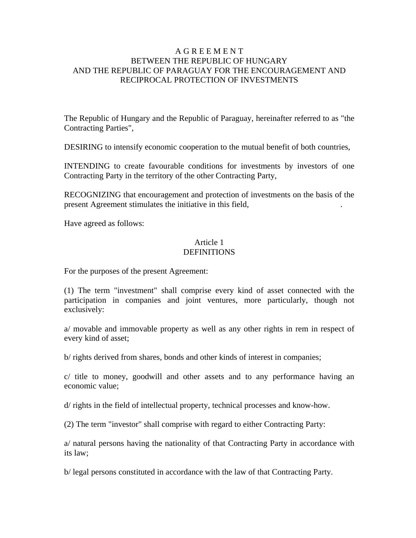### A G R E E M E N T BETWEEN THE REPUBLIC OF HUNGARY AND THE REPUBLIC OF PARAGUAY FOR THE ENCOURAGEMENT AND RECIPROCAL PROTECTION OF INVESTMENTS

The Republic of Hungary and the Republic of Paraguay, hereinafter referred to as "the Contracting Parties",

DESIRING to intensify economic cooperation to the mutual benefit of both countries,

INTENDING to create favourable conditions for investments by investors of one Contracting Party in the territory of the other Contracting Party,

RECOGNIZING that encouragement and protection of investments on the basis of the present Agreement stimulates the initiative in this field, .

Have agreed as follows:

### Article 1 **DEFINITIONS**

For the purposes of the present Agreement:

(1) The term "investment" shall comprise every kind of asset connected with the participation in companies and joint ventures, more particularly, though not exclusively:

a/ movable and immovable property as well as any other rights in rem in respect of every kind of asset;

b/ rights derived from shares, bonds and other kinds of interest in companies;

c/ title to money, goodwill and other assets and to any performance having an economic value;

d/ rights in the field of intellectual property, technical processes and know-how.

(2) The term "investor" shall comprise with regard to either Contracting Party:

a/ natural persons having the nationality of that Contracting Party in accordance with its law;

b/ legal persons constituted in accordance with the law of that Contracting Party.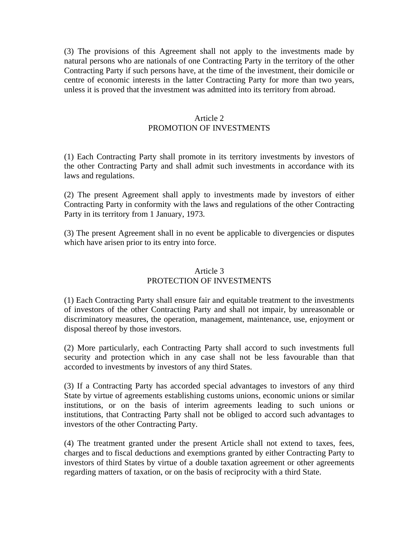(3) The provisions of this Agreement shall not apply to the investments made by natural persons who are nationals of one Contracting Party in the territory of the other Contracting Party if such persons have, at the time of the investment, their domicile or centre of economic interests in the latter Contracting Party for more than two years, unless it is proved that the investment was admitted into its territory from abroad.

### Article 2 PROMOTION OF INVESTMENTS

(1) Each Contracting Party shall promote in its territory investments by investors of the other Contracting Party and shall admit such investments in accordance with its laws and regulations.

(2) The present Agreement shall apply to investments made by investors of either Contracting Party in conformity with the laws and regulations of the other Contracting Party in its territory from 1 January, 1973.

(3) The present Agreement shall in no event be applicable to divergencies or disputes which have arisen prior to its entry into force.

# Article 3

## PROTECTION OF INVESTMENTS

(1) Each Contracting Party shall ensure fair and equitable treatment to the investments of investors of the other Contracting Party and shall not impair, by unreasonable or discriminatory measures, the operation, management, maintenance, use, enjoyment or disposal thereof by those investors.

(2) More particularly, each Contracting Party shall accord to such investments full security and protection which in any case shall not be less favourable than that accorded to investments by investors of any third States.

(3) If a Contracting Party has accorded special advantages to investors of any third State by virtue of agreements establishing customs unions, economic unions or similar institutions, or on the basis of interim agreements leading to such unions or institutions, that Contracting Party shall not be obliged to accord such advantages to investors of the other Contracting Party.

(4) The treatment granted under the present Article shall not extend to taxes, fees, charges and to fiscal deductions and exemptions granted by either Contracting Party to investors of third States by virtue of a double taxation agreement or other agreements regarding matters of taxation, or on the basis of reciprocity with a third State.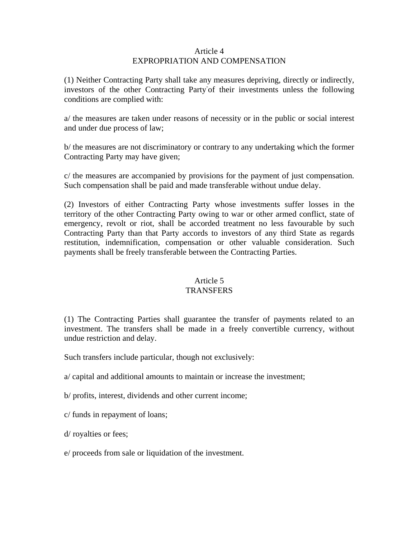#### Article 4 EXPROPRIATION AND COMPENSATION

(1) Neither Contracting Party shall take any measures depriving, directly or indirectly, investors of the other Contracting Party-of their investments unless the following conditions are complied with:

a/ the measures are taken under reasons of necessity or in the public or social interest and under due process of law;

b/ the measures are not discriminatory or contrary to any undertaking which the former Contracting Party may have given;

c/ the measures are accompanied by provisions for the payment of just compensation. Such compensation shall be paid and made transferable without undue delay.

(2) Investors of either Contracting Party whose investments suffer losses in the territory of the other Contracting Party owing to war or other armed conflict, state of emergency, revolt or riot, shall be accorded treatment no less favourable by such Contracting Party than that Party accords to investors of any third State as regards restitution, indemnification, compensation or other valuable consideration. Such payments shall be freely transferable between the Contracting Parties.

### Article 5 TRANSFERS

(1) The Contracting Parties shall guarantee the transfer of payments related to an investment. The transfers shall be made in a freely convertible currency, without undue restriction and delay.

Such transfers include particular, though not exclusively:

- a/ capital and additional amounts to maintain or increase the investment;
- b/ profits, interest, dividends and other current income;
- c/ funds in repayment of loans;
- d/ royalties or fees;
- e/ proceeds from sale or liquidation of the investment.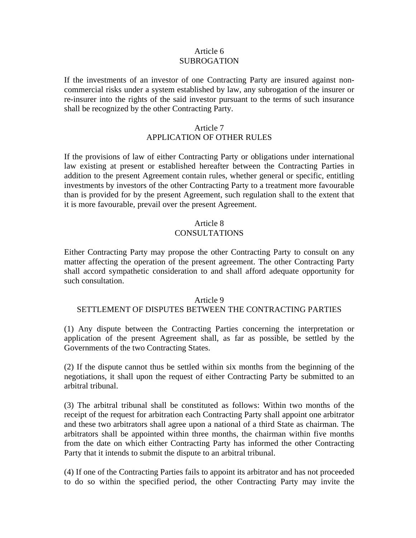### Article 6 SUBROGATION

If the investments of an investor of one Contracting Party are insured against noncommercial risks under a system established by law, any subrogation of the insurer or re-insurer into the rights of the said investor pursuant to the terms of such insurance shall be recognized by the other Contracting Party.

#### Article 7

### APPLICATION OF OTHER RULES

If the provisions of law of either Contracting Party or obligations under international law existing at present or established hereafter between the Contracting Parties in addition to the present Agreement contain rules, whether general or specific, entitling investments by investors of the other Contracting Party to a treatment more favourable than is provided for by the present Agreement, such regulation shall to the extent that it is more favourable, prevail over the present Agreement.

### Article 8 CONSULTATIONS

Either Contracting Party may propose the other Contracting Party to consult on any matter affecting the operation of the present agreement. The other Contracting Party shall accord sympathetic consideration to and shall afford adequate opportunity for such consultation.

#### Article 9

### SETTLEMENT OF DISPUTES BETWEEN THE CONTRACTING PARTIES

(1) Any dispute between the Contracting Parties concerning the interpretation or application of the present Agreement shall, as far as possible, be settled by the Governments of the two Contracting States.

(2) If the dispute cannot thus be settled within six months from the beginning of the negotiations, it shall upon the request of either Contracting Party be submitted to an arbitral tribunal.

(3) The arbitral tribunal shall be constituted as follows: Within two months of the receipt of the request for arbitration each Contracting Party shall appoint one arbitrator and these two arbitrators shall agree upon a national of a third State as chairman. The arbitrators shall be appointed within three months, the chairman within five months from the date on which either Contracting Party has informed the other Contracting Party that it intends to submit the dispute to an arbitral tribunal.

(4) If one of the Contracting Parties fails to appoint its arbitrator and has not proceeded to do so within the specified period, the other Contracting Party may invite the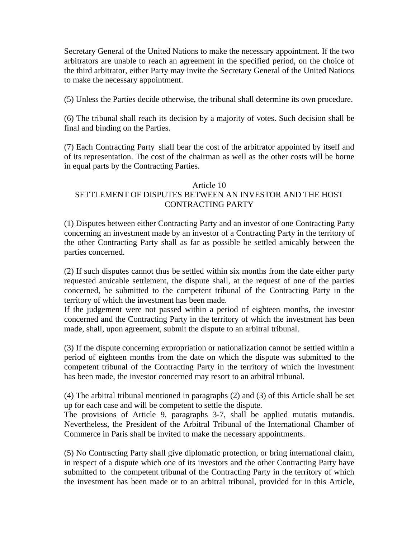Secretary General of the United Nations to make the necessary appointment. If the two arbitrators are unable to reach an agreement in the specified period, on the choice of the third arbitrator, either Party may invite the Secretary General of the United Nations to make the necessary appointment.

(5) Unless the Parties decide otherwise, the tribunal shall determine its own procedure.

(6) The tribunal shall reach its decision by a majority of votes. Such decision shall be final and binding on the Parties.

(7) Each Contracting Party shall bear the cost of the arbitrator appointed by itself and of its representation. The cost of the chairman as well as the other costs will be borne in equal parts by the Contracting Parties.

#### Article 10

### SETTLEMENT OF DISPUTES BETWEEN AN INVESTOR AND THE HOST CONTRACTING PARTY

(1) Disputes between either Contracting Party and an investor of one Contracting Party concerning an investment made by an investor of a Contracting Party in the territory of the other Contracting Party shall as far as possible be settled amicably between the parties concerned.

(2) If such disputes cannot thus be settled within six months from the date either party requested amicable settlement, the dispute shall, at the request of one of the parties concerned, be submitted to the competent tribunal of the Contracting Party in the territory of which the investment has been made.

If the judgement were not passed within a period of eighteen months, the investor concerned and the Contracting Party in the territory of which the investment has been made, shall, upon agreement, submit the dispute to an arbitral tribunal.

(3) If the dispute concerning expropriation or nationalization cannot be settled within a period of eighteen months from the date on which the dispute was submitted to the competent tribunal of the Contracting Party in the territory of which the investment has been made, the investor concerned may resort to an arbitral tribunal.

(4) The arbitral tribunal mentioned in paragraphs (2) and (3) of this Article shall be set up for each case and will be competent to settle the dispute.

The provisions of Article 9, paragraphs 3-7, shall be applied mutatis mutandis. Nevertheless, the President of the Arbitral Tribunal of the International Chamber of Commerce in Paris shall be invited to make the necessary appointments.

(5) No Contracting Party shall give diplomatic protection, or bring international claim, in respect of a dispute which one of its investors and the other Contracting Party have submitted to the competent tribunal of the Contracting Party in the territory of which the investment has been made or to an arbitral tribunal, provided for in this Article,